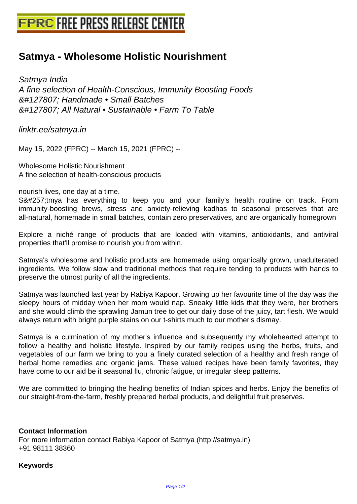## **[Satmya - Wholesome Holistic Nour](http://www.free-press-release-center.info)ishment**

Satmya India A fine selection of Health-Conscious, Immunity Boosting Foods 🌿 Handmade • Small Batches 🌿 All Natural • Sustainable • Farm To Table

linktr.ee/satmya.in

May 15, 2022 (FPRC) -- March 15, 2021 (FPRC) --

Wholesome Holistic Nourishment A fine selection of health-conscious products

nourish lives, one day at a time.

Sātmya has everything to keep you and your family's health routine on track. From immunity-boosting brews, stress and anxiety-relieving kadhas to seasonal preserves that are all-natural, homemade in small batches, contain zero preservatives, and are organically homegrown

Explore a niché range of products that are loaded with vitamins, antioxidants, and antiviral properties that'll promise to nourish you from within.

Satmya's wholesome and holistic products are homemade using organically grown, unadulterated ingredients. We follow slow and traditional methods that require tending to products with hands to preserve the utmost purity of all the ingredients.

Satmya was launched last year by Rabiya Kapoor. Growing up her favourite time of the day was the sleepy hours of midday when her mom would nap. Sneaky little kids that they were, her brothers and she would climb the sprawling Jamun tree to get our daily dose of the juicy, tart flesh. We would always return with bright purple stains on our t-shirts much to our mother's dismay.

Satmya is a culmination of my mother's influence and subsequently my wholehearted attempt to follow a healthy and holistic lifestyle. Inspired by our family recipes using the herbs, fruits, and vegetables of our farm we bring to you a finely curated selection of a healthy and fresh range of herbal home remedies and organic jams. These valued recipes have been family favorites, they have come to our aid be it seasonal flu, chronic fatigue, or irregular sleep patterns.

We are committed to bringing the healing benefits of Indian spices and herbs. Enjoy the benefits of our straight-from-the-farm, freshly prepared herbal products, and delightful fruit preserves.

## **Contact Information**

For more information contact Rabiya Kapoor of Satmya (http://satmya.in) +91 98111 38360

## **Keywords**